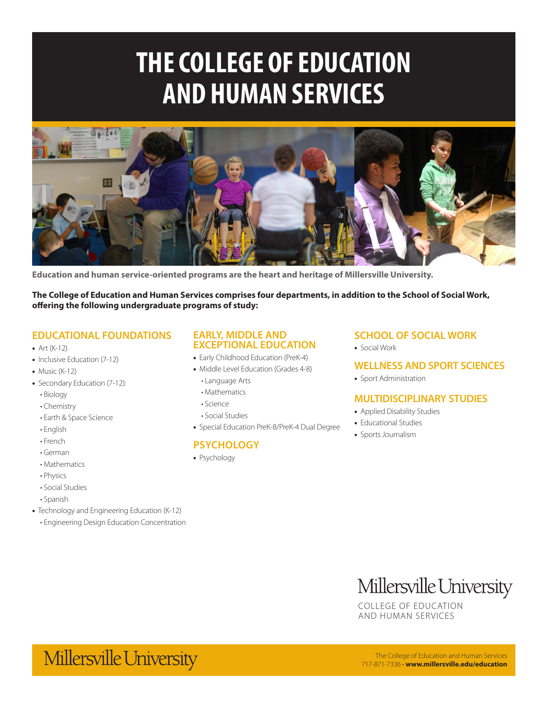# **THE COLLEGE OF EDUCATION AND HUMAN SERVICES**



**Education and human service-oriented programs are the heart and heritage of Millersville University.**

**The College of Education and Human Services comprises four departments, in addition to the School of Social Work, offering the following undergraduate programs of study:**

#### **EDUCATIONAL FOUNDATIONS**

- Art (K-12)
- Inclusive Education (7-12)
- $\bullet$  Music (K-12)
- Secondary Education (7-12):
	- Biology
	- Chemistry
	- Earth & Space Science
	- English
	- French
	- German
	- Mathematics
	- Physics
	- Social Studies
- Spanish
- Technology and Engineering Education (K-12)
	- Engineering Design Education Concentration

#### **EARLY, MIDDLE AND EXCEPTIONAL EDUCATION**

- Early Childhood Education (PreK-4)
- Middle Level Education (Grades 4-8)
	- Language Arts
	- Mathematics
	- Science
	- Social Studies
- Special Education PreK-8/PreK-4 Dual Degree

#### **PSYCHOLOGY**

• Psychology

#### **SCHOOL OF SOCIAL WORK**

• Social Work

#### **WELLNESS AND SPORT SCIENCES**

• Sport Administration

#### **MULTIDISCIPLINARY STUDIES**

- Applied Disability Studies
- Educational Studies
- Sports Journalism

### Millersville University

COLLEGE OF EDUCATION AND HUMAN SERVICES

### Millersville University

The College of Education and Human Services 717-871-7336 • **www.millersville.edu/education**